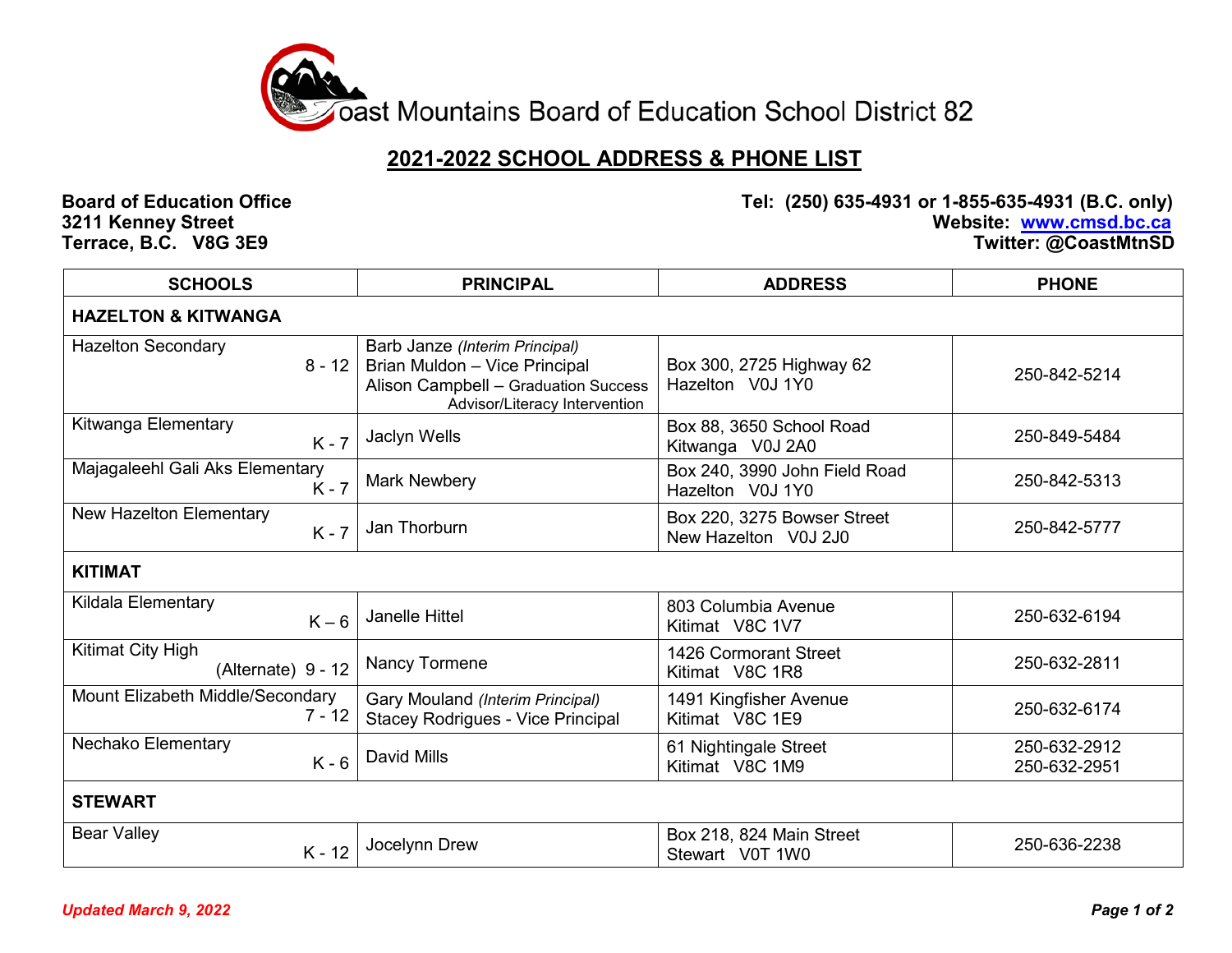

## **2021-2022 SCHOOL ADDRESS & PHONE LIST**

**Terrace, B.C. V8G 3E9** 

**Board of Education Office Tel: (250) 635-4931 or 1-855-635-4931 (B.C. only) 321 Website: [www.cmsd.bc.ca](http://www.cmsd.bc.ca/)**<br>Twitter: @CoastMtnSD

| <b>SCHOOLS</b>                               | <b>PRINCIPAL</b>                                                                                                                         | <b>ADDRESS</b>                                      | <b>PHONE</b>                 |
|----------------------------------------------|------------------------------------------------------------------------------------------------------------------------------------------|-----------------------------------------------------|------------------------------|
| <b>HAZELTON &amp; KITWANGA</b>               |                                                                                                                                          |                                                     |                              |
| <b>Hazelton Secondary</b><br>$8 - 12$        | Barb Janze (Interim Principal)<br>Brian Muldon - Vice Principal<br>Alison Campbell - Graduation Success<br>Advisor/Literacy Intervention | Box 300, 2725 Highway 62<br>Hazelton V0J 1Y0        | 250-842-5214                 |
| Kitwanga Elementary<br>$K - 7$               | Jaclyn Wells                                                                                                                             | Box 88, 3650 School Road<br>Kitwanga V0J 2A0        | 250-849-5484                 |
| Majagaleehl Gali Aks Elementary<br>$K - 7$   | <b>Mark Newbery</b>                                                                                                                      | Box 240, 3990 John Field Road<br>Hazelton V0J 1Y0   | 250-842-5313                 |
| New Hazelton Elementary<br>$K - 7$           | Jan Thorburn                                                                                                                             | Box 220, 3275 Bowser Street<br>New Hazelton V0J 2J0 | 250-842-5777                 |
| <b>KITIMAT</b>                               |                                                                                                                                          |                                                     |                              |
| Kildala Elementary<br>$K-6$                  | <b>Janelle Hittel</b>                                                                                                                    | 803 Columbia Avenue<br>Kitimat V8C 1V7              | 250-632-6194                 |
| Kitimat City High<br>(Alternate) 9 - 12      | Nancy Tormene                                                                                                                            | 1426 Cormorant Street<br>Kitimat V8C 1R8            | 250-632-2811                 |
| Mount Elizabeth Middle/Secondary<br>$7 - 12$ | Gary Mouland (Interim Principal)<br><b>Stacey Rodrigues - Vice Principal</b>                                                             | 1491 Kingfisher Avenue<br>Kitimat V8C 1E9           | 250-632-6174                 |
| Nechako Elementary<br>$K - 6$                | <b>David Mills</b>                                                                                                                       | 61 Nightingale Street<br>Kitimat V8C 1M9            | 250-632-2912<br>250-632-2951 |
| <b>STEWART</b>                               |                                                                                                                                          |                                                     |                              |
| <b>Bear Valley</b><br>$K - 12$               | Jocelynn Drew                                                                                                                            | Box 218, 824 Main Street<br>Stewart V0T 1W0         | 250-636-2238                 |